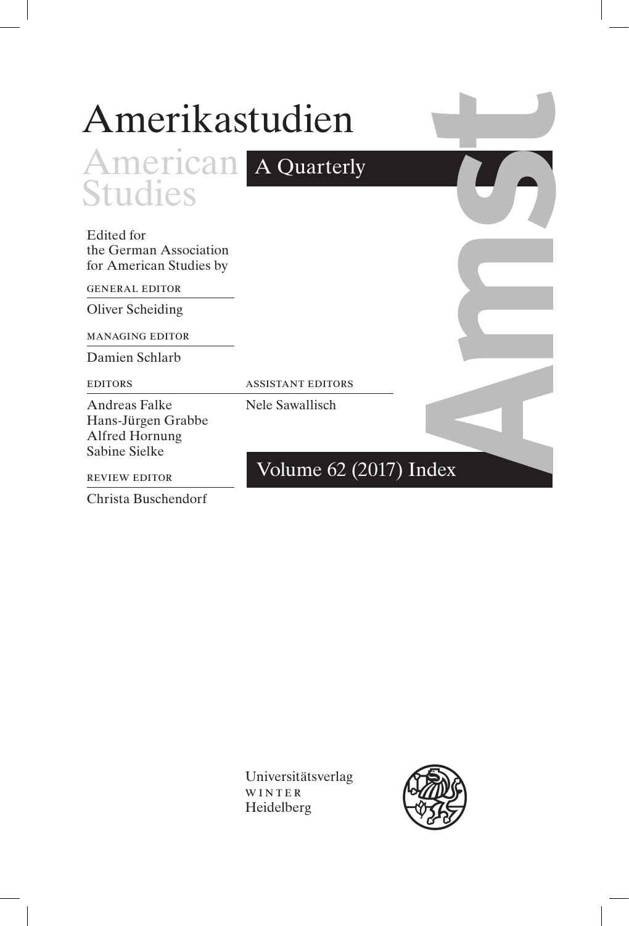| Amerikastudien                                                         |                          |  |
|------------------------------------------------------------------------|--------------------------|--|
| <b>American</b> A Quarterly                                            |                          |  |
| <b>Studies</b>                                                         |                          |  |
| Edited for<br>the German Association<br>for American Studies by        |                          |  |
| <b>GENERAL EDITOR</b>                                                  |                          |  |
| Oliver Scheiding                                                       |                          |  |
| <b>MANAGING EDITOR</b>                                                 |                          |  |
| Damien Schlarb                                                         |                          |  |
| <b>EDITORS</b>                                                         | <b>ASSISTANT EDITORS</b> |  |
| Andreas Falke<br>Hans-Jürgen Grabbe<br>Alfred Hornung<br>Sabine Sielke | Nele Sawallisch          |  |
| <b>REVIEW EDITOR</b>                                                   | Volume 62 (2017) Index   |  |

Christa Buschendorf

I

Universitätsverlag WINTER Heidelberg

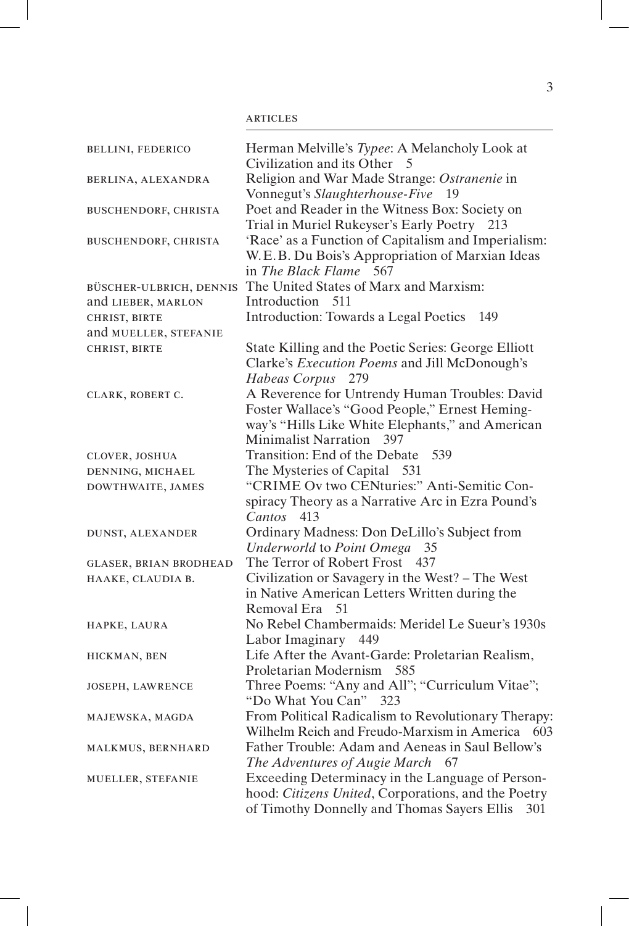| <b>BELLINI, FEDERICO</b>      | Herman Melville's Typee: A Melancholy Look at<br>Civilization and its Other<br>5                                                                                                 |
|-------------------------------|----------------------------------------------------------------------------------------------------------------------------------------------------------------------------------|
| BERLINA, ALEXANDRA            | Religion and War Made Strange: Ostranenie in<br>Vonnegut's Slaughterhouse-Five<br>19                                                                                             |
| BUSCHENDORF, CHRISTA          | Poet and Reader in the Witness Box: Society on<br>Trial in Muriel Rukeyser's Early Poetry 213                                                                                    |
| BUSCHENDORF, CHRISTA          | 'Race' as a Function of Capitalism and Imperialism:<br>W.E.B. Du Bois's Appropriation of Marxian Ideas<br>in The Black Flame 567                                                 |
| BÜSCHER-ULBRICH, DENNIS       | The United States of Marx and Marxism:                                                                                                                                           |
| and LIEBER, MARLON            | Introduction 511                                                                                                                                                                 |
| CHRIST, BIRTE                 | Introduction: Towards a Legal Poetics<br>149                                                                                                                                     |
| and MUELLER, STEFANIE         |                                                                                                                                                                                  |
| CHRIST, BIRTE                 | State Killing and the Poetic Series: George Elliott<br>Clarke's Execution Poems and Jill McDonough's<br>Habeas Corpus<br>279                                                     |
| CLARK, ROBERT C.              | A Reverence for Untrendy Human Troubles: David<br>Foster Wallace's "Good People," Ernest Heming-<br>way's "Hills Like White Elephants," and American<br>Minimalist Narration 397 |
| CLOVER, JOSHUA                | Transition: End of the Debate<br>539                                                                                                                                             |
| DENNING, MICHAEL              | The Mysteries of Capital 531                                                                                                                                                     |
| DOWTHWAITE, JAMES             | "CRIME Ov two CENturies:" Anti-Semitic Con-<br>spiracy Theory as a Narrative Arc in Ezra Pound's<br>Cantos 413                                                                   |
| DUNST, ALEXANDER              | Ordinary Madness: Don DeLillo's Subject from<br>Underworld to Point Omega 35                                                                                                     |
| <b>GLASER, BRIAN BRODHEAD</b> | The Terror of Robert Frost<br>437                                                                                                                                                |
| HAAKE, CLAUDIA B.             | Civilization or Savagery in the West? - The West<br>in Native American Letters Written during the<br>Removal Era 51                                                              |
| HAPKE, LAURA                  | No Rebel Chambermaids: Meridel Le Sueur's 1930s<br>Labor Imaginary 449                                                                                                           |
| HICKMAN, BEN                  | Life After the Avant-Garde: Proletarian Realism,<br>Proletarian Modernism 585                                                                                                    |
| JOSEPH, LAWRENCE              | Three Poems: "Any and All"; "Curriculum Vitae";<br>"Do What You Can" 323                                                                                                         |
| MAJEWSKA, MAGDA               | From Political Radicalism to Revolutionary Therapy:<br>Wilhelm Reich and Freudo-Marxism in America<br>603                                                                        |
| MALKMUS, BERNHARD             | Father Trouble: Adam and Aeneas in Saul Bellow's<br>The Adventures of Augie March 67                                                                                             |
| MUELLER, STEFANIE             | Exceeding Determinacy in the Language of Person-<br>hood: Citizens United, Corporations, and the Poetry<br>of Timothy Donnelly and Thomas Sayers Ellis<br>301                    |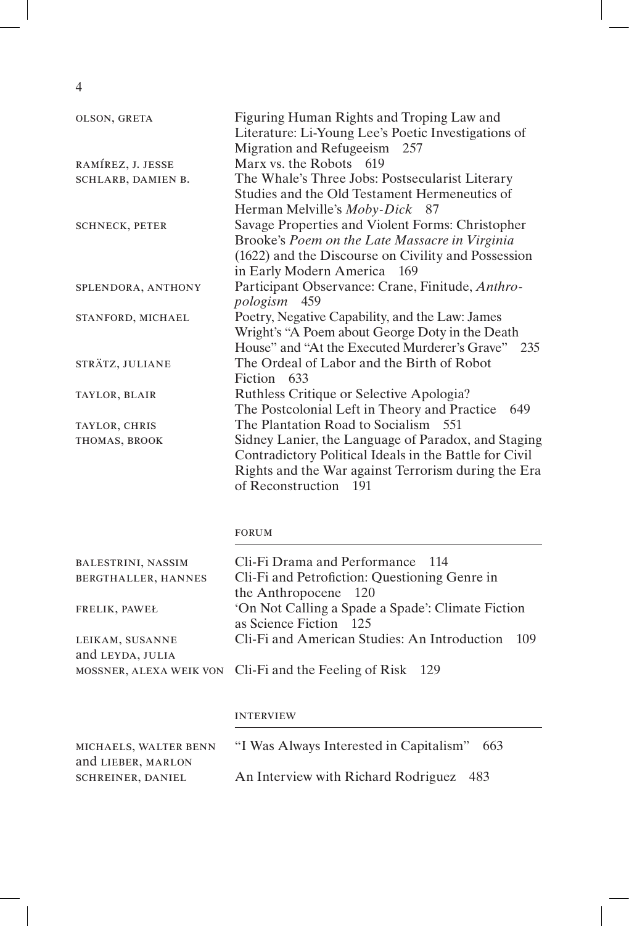$\overline{4}$ 

| OLSON, GRETA          | Figuring Human Rights and Troping Law and<br>Literature: Li-Young Lee's Poetic Investigations of |
|-----------------------|--------------------------------------------------------------------------------------------------|
|                       | Migration and Refugeeism 257                                                                     |
| RAMÍREZ, J. JESSE     | Marx vs. the Robots 619                                                                          |
| SCHLARB, DAMIEN B.    | The Whale's Three Jobs: Postsecularist Literary                                                  |
|                       | Studies and the Old Testament Hermeneutics of                                                    |
|                       | Herman Melville's Moby-Dick 87                                                                   |
| <b>SCHNECK, PETER</b> | Savage Properties and Violent Forms: Christopher                                                 |
|                       | Brooke's Poem on the Late Massacre in Virginia                                                   |
|                       | (1622) and the Discourse on Civility and Possession                                              |
|                       | in Early Modern America 169                                                                      |
| SPLENDORA, ANTHONY    | Participant Observance: Crane, Finitude, Anthro-                                                 |
|                       | pologism 459                                                                                     |
| STANFORD, MICHAEL     | Poetry, Negative Capability, and the Law: James                                                  |
|                       | Wright's "A Poem about George Doty in the Death                                                  |
|                       | House" and "At the Executed Murderer's Grave" 235                                                |
| STRÄTZ, JULIANE       | The Ordeal of Labor and the Birth of Robot                                                       |
|                       | Fiction 633                                                                                      |
| TAYLOR, BLAIR         | Ruthless Critique or Selective Apologia?                                                         |
|                       | The Postcolonial Left in Theory and Practice<br>649                                              |
| TAYLOR, CHRIS         | The Plantation Road to Socialism 551                                                             |
| THOMAS, BROOK         | Sidney Lanier, the Language of Paradox, and Staging                                              |
|                       | Contradictory Political Ideals in the Battle for Civil                                           |
|                       | Rights and the War against Terrorism during the Era                                              |
|                       | of Reconstruction<br>191                                                                         |

## **FORUM**

| <b>BALESTRINI, NASSIM</b><br>BERGTHALLER, HANNES | Cli-Fi Drama and Performance 114<br>Cli-Fi and Petrofiction: Questioning Genre in |  |
|--------------------------------------------------|-----------------------------------------------------------------------------------|--|
| FRELIK, PAWEŁ                                    | the Anthropocene 120<br>'On Not Calling a Spade a Spade': Climate Fiction         |  |
|                                                  | as Science Fiction 125                                                            |  |
| LEIKAM, SUSANNE                                  | Cli-Fi and American Studies: An Introduction 109                                  |  |
| and LEYDA, JULIA                                 |                                                                                   |  |
|                                                  | MOSSNER, ALEXA WEIK VON Cli-Fi and the Feeling of Risk 129                        |  |

## **INTERVIEW**

| MICHAELS, WALTER BENN    | "I Was Always Interested in Capitalism"<br>663 |
|--------------------------|------------------------------------------------|
| and LIEBER, MARLON       |                                                |
| <b>SCHREINER, DANIEL</b> | An Interview with Richard Rodriguez 483        |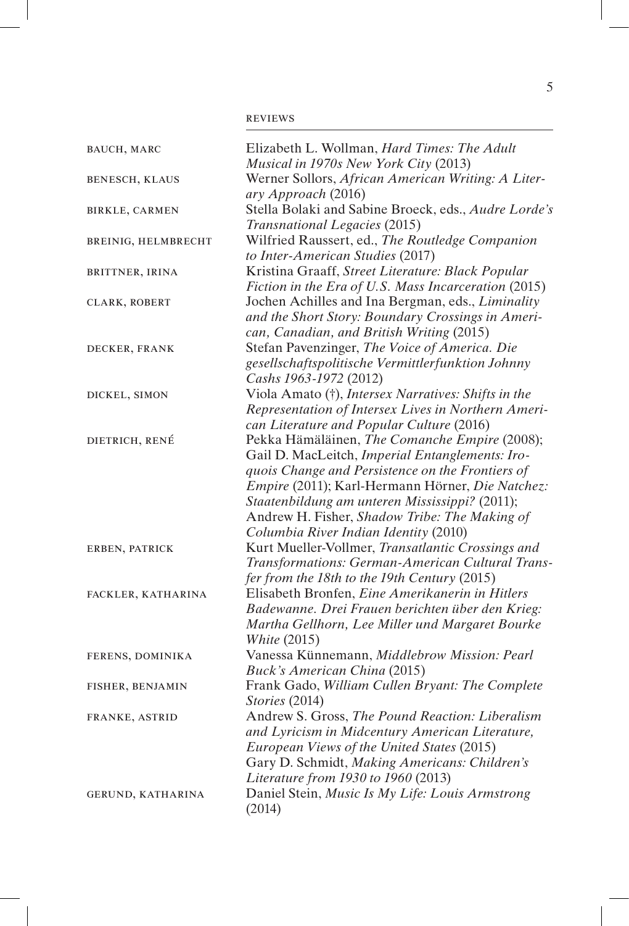| BAUCH, MARC           | Elizabeth L. Wollman, Hard Times: The Adult<br>Musical in 1970s New York City (2013)   |
|-----------------------|----------------------------------------------------------------------------------------|
| <b>BENESCH, KLAUS</b> | Werner Sollors, African American Writing: A Liter-                                     |
|                       | ary Approach (2016)                                                                    |
| <b>BIRKLE, CARMEN</b> | Stella Bolaki and Sabine Broeck, eds., Audre Lorde's                                   |
|                       | Transnational Legacies (2015)<br>Wilfried Raussert, ed., The Routledge Companion       |
| BREINIG, HELMBRECHT   | to Inter-American Studies (2017)                                                       |
| BRITTNER, IRINA       | Kristina Graaff, Street Literature: Black Popular                                      |
|                       | Fiction in the Era of U.S. Mass Incarceration (2015)                                   |
| CLARK, ROBERT         | Jochen Achilles and Ina Bergman, eds., Liminality                                      |
|                       | and the Short Story: Boundary Crossings in Ameri-                                      |
|                       | can, Canadian, and British Writing (2015)                                              |
| DECKER, FRANK         | Stefan Pavenzinger, The Voice of America. Die                                          |
|                       | gesellschaftspolitische Vermittlerfunktion Johnny                                      |
|                       | Cashs 1963-1972 (2012)                                                                 |
| DICKEL, SIMON         | Viola Amato (†), Intersex Narratives: Shifts in the                                    |
|                       | Representation of Intersex Lives in Northern Ameri-                                    |
|                       | can Literature and Popular Culture (2016)                                              |
| DIETRICH, RENÉ        | Pekka Hämäläinen, The Comanche Empire (2008);                                          |
|                       | Gail D. MacLeitch, Imperial Entanglements: Iro-                                        |
|                       | quois Change and Persistence on the Frontiers of                                       |
|                       | Empire (2011); Karl-Hermann Hörner, Die Natchez:                                       |
|                       | Staatenbildung am unteren Mississippi? (2011);                                         |
|                       | Andrew H. Fisher, Shadow Tribe: The Making of                                          |
|                       | Columbia River Indian Identity (2010)                                                  |
| ERBEN, PATRICK        | Kurt Mueller-Vollmer, Transatlantic Crossings and                                      |
|                       | Transformations: German-American Cultural Trans-                                       |
|                       | fer from the 18th to the 19th Century (2015)                                           |
| FACKLER, KATHARINA    | Elisabeth Bronfen, Eine Amerikanerin in Hitlers                                        |
|                       | Badewanne. Drei Frauen berichten über den Krieg:                                       |
|                       | Martha Gellhorn, Lee Miller und Margaret Bourke                                        |
|                       | <b>White (2015)</b>                                                                    |
| FERENS, DOMINIKA      | Vanessa Künnemann, Middlebrow Mission: Pearl                                           |
|                       | Buck's American China (2015)                                                           |
| FISHER, BENJAMIN      | Frank Gado, William Cullen Bryant: The Complete                                        |
|                       | Stories (2014)                                                                         |
| FRANKE, ASTRID        | Andrew S. Gross, The Pound Reaction: Liberalism                                        |
|                       | and Lyricism in Midcentury American Literature,                                        |
|                       | European Views of the United States (2015)                                             |
|                       | Gary D. Schmidt, Making Americans: Children's                                          |
|                       | Literature from 1930 to 1960 (2013)<br>Daniel Stein, Music Is My Life: Louis Armstrong |
| GERUND, KATHARINA     | (2014)                                                                                 |
|                       |                                                                                        |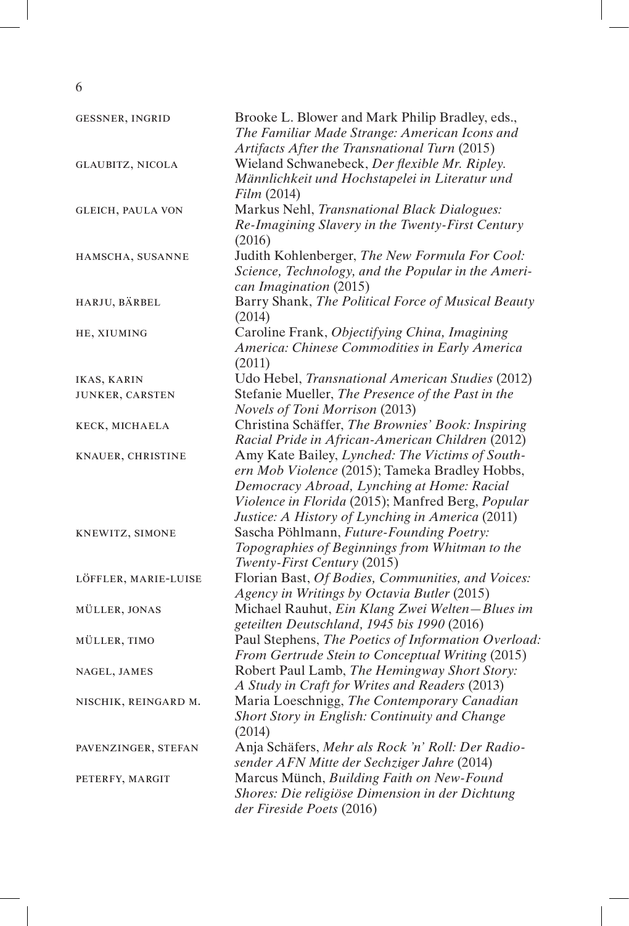6

| GESSNER, INGRID         | Brooke L. Blower and Mark Philip Bradley, eds.,<br>The Familiar Made Strange: American Icons and                                                                                                     |
|-------------------------|------------------------------------------------------------------------------------------------------------------------------------------------------------------------------------------------------|
|                         | Artifacts After the Transnational Turn (2015)                                                                                                                                                        |
| <b>GLAUBITZ, NICOLA</b> | Wieland Schwanebeck, Der flexible Mr. Ripley.<br>Männlichkeit und Hochstapelei in Literatur und<br>Film (2014)                                                                                       |
| GLEICH, PAULA VON       | Markus Nehl, Transnational Black Dialogues:<br>Re-Imagining Slavery in the Twenty-First Century<br>(2016)                                                                                            |
| HAMSCHA, SUSANNE        | Judith Kohlenberger, The New Formula For Cool:<br>Science, Technology, and the Popular in the Ameri-<br>can Imagination (2015)                                                                       |
| HARJU, BÄRBEL           | Barry Shank, The Political Force of Musical Beauty<br>(2014)                                                                                                                                         |
| HE, XIUMING             | Caroline Frank, Objectifying China, Imagining<br>America: Chinese Commodities in Early America<br>(2011)                                                                                             |
| IKAS, KARIN             | Udo Hebel, Transnational American Studies (2012)                                                                                                                                                     |
| JUNKER, CARSTEN         | Stefanie Mueller, The Presence of the Past in the<br>Novels of Toni Morrison (2013)                                                                                                                  |
| KECK, MICHAELA          | Christina Schäffer, The Brownies' Book: Inspiring<br>Racial Pride in African-American Children (2012)                                                                                                |
| KNAUER, CHRISTINE       | Amy Kate Bailey, Lynched: The Victims of South-<br>ern Mob Violence (2015); Tameka Bradley Hobbs,<br>Democracy Abroad, Lynching at Home: Racial<br>Violence in Florida (2015); Manfred Berg, Popular |
| KNEWITZ, SIMONE         | Justice: A History of Lynching in America (2011)<br>Sascha Pöhlmann, Future-Founding Poetry:<br>Topographies of Beginnings from Whitman to the<br>Twenty-First Century (2015)                        |
| LÖFFLER, MARIE-LUISE    | Florian Bast, Of Bodies, Communities, and Voices:<br>Agency in Writings by Octavia Butler (2015)                                                                                                     |
| MÜLLER, JONAS           | Michael Rauhut, Ein Klang Zwei Welten-Blues im<br>geteilten Deutschland, 1945 bis 1990 (2016)                                                                                                        |
| MÜLLER, TIMO            | Paul Stephens, The Poetics of Information Overload:<br>From Gertrude Stein to Conceptual Writing (2015)                                                                                              |
| NAGEL, JAMES            | Robert Paul Lamb, The Hemingway Short Story:<br>A Study in Craft for Writes and Readers (2013)                                                                                                       |
| NISCHIK, REINGARD M.    | Maria Loeschnigg, The Contemporary Canadian<br>Short Story in English: Continuity and Change<br>(2014)                                                                                               |
| PAVENZINGER, STEFAN     | Anja Schäfers, Mehr als Rock 'n' Roll: Der Radio-<br>sender AFN Mitte der Sechziger Jahre (2014)                                                                                                     |
| PETERFY, MARGIT         | Marcus Münch, Building Faith on New-Found<br>Shores: Die religiöse Dimension in der Dichtung<br>der Fireside Poets (2016)                                                                            |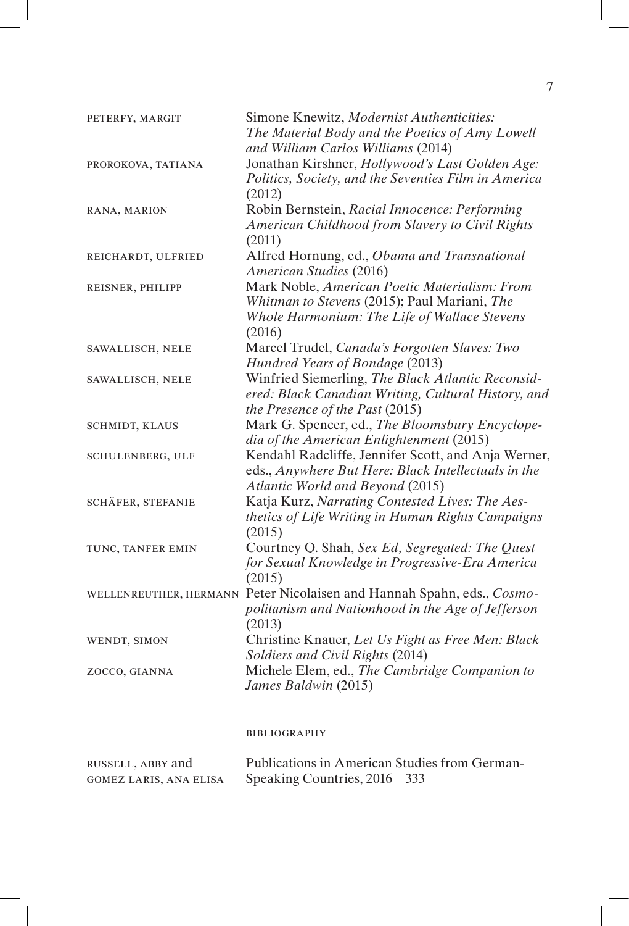| PETERFY, MARGIT                                    | Simone Knewitz, Modernist Authenticities:<br>The Material Body and the Poetics of Amy Lowell<br>and William Carlos Williams (2014)                      |
|----------------------------------------------------|---------------------------------------------------------------------------------------------------------------------------------------------------------|
|                                                    | Jonathan Kirshner, Hollywood's Last Golden Age:                                                                                                         |
| PROROKOVA, TATIANA                                 | Politics, Society, and the Seventies Film in America<br>(2012)                                                                                          |
| RANA, MARION                                       | Robin Bernstein, Racial Innocence: Performing<br>American Childhood from Slavery to Civil Rights<br>(2011)                                              |
| REICHARDT, ULFRIED                                 | Alfred Hornung, ed., Obama and Transnational<br><b>American Studies (2016)</b>                                                                          |
| REISNER, PHILIPP                                   | Mark Noble, American Poetic Materialism: From<br>Whitman to Stevens (2015); Paul Mariani, The<br>Whole Harmonium: The Life of Wallace Stevens<br>(2016) |
| SAWALLISCH, NELE                                   | Marcel Trudel, Canada's Forgotten Slaves: Two<br>Hundred Years of Bondage (2013)                                                                        |
| SAWALLISCH, NELE                                   | Winfried Siemerling, The Black Atlantic Reconsid-<br>ered: Black Canadian Writing, Cultural History, and<br>the Presence of the Past (2015)             |
| SCHMIDT, KLAUS                                     | Mark G. Spencer, ed., The Bloomsbury Encyclope-<br>dia of the American Enlightenment (2015)                                                             |
| SCHULENBERG, ULF                                   | Kendahl Radcliffe, Jennifer Scott, and Anja Werner,<br>eds., Anywhere But Here: Black Intellectuals in the<br>Atlantic World and Beyond (2015)          |
| SCHÄFER, STEFANIE                                  | Katja Kurz, Narrating Contested Lives: The Aes-<br>thetics of Life Writing in Human Rights Campaigns<br>(2015)                                          |
| TUNC, TANFER EMIN                                  | Courtney Q. Shah, Sex Ed, Segregated: The Quest<br>for Sexual Knowledge in Progressive-Era America<br>(2015)                                            |
|                                                    | WELLENREUTHER, HERMANN Peter Nicolaisen and Hannah Spahn, eds., Cosmo-<br>politanism and Nationhood in the Age of Jefferson<br>(2013)                   |
| WENDT, SIMON                                       | Christine Knauer, Let Us Fight as Free Men: Black<br>Soldiers and Civil Rights (2014)                                                                   |
| ZOCCO, GIANNA                                      | Michele Elem, ed., The Cambridge Companion to<br>James Baldwin (2015)                                                                                   |
|                                                    | <b>BIBLIOGRAPHY</b>                                                                                                                                     |
| RUSSELL, ABBY and<br><b>GOMEZ LARIS, ANA ELISA</b> | Publications in American Studies from German-<br>Speaking Countries, 2016<br>333                                                                        |